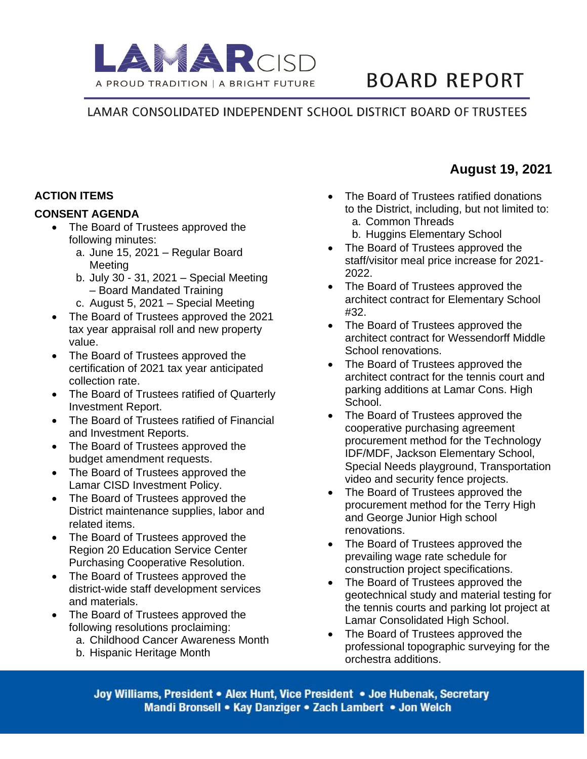

# **BOARD REPORT**

# LAMAR CONSOLIDATED INDEPENDENT SCHOOL DISTRICT BOARD OF TRUSTEES

# **ACTION ITEMS**

#### **CONSENT AGENDA**

- The Board of Trustees approved the following minutes:
	- a. June 15, 2021 Regular Board **Meeting**
	- b. July 30 31, 2021 Special Meeting – Board Mandated Training
	- c. August 5, 2021 Special Meeting
- The Board of Trustees approved the 2021 tax year appraisal roll and new property value.
- The Board of Trustees approved the certification of 2021 tax year anticipated collection rate.
- The Board of Trustees ratified of Quarterly Investment Report.
- The Board of Trustees ratified of Financial and Investment Reports.
- The Board of Trustees approved the budget amendment requests.
- The Board of Trustees approved the Lamar CISD Investment Policy.
- The Board of Trustees approved the District maintenance supplies, labor and related items.
- The Board of Trustees approved the Region 20 Education Service Center Purchasing Cooperative Resolution.
- The Board of Trustees approved the district-wide staff development services and materials.
- The Board of Trustees approved the following resolutions proclaiming:
	- a. Childhood Cancer Awareness Month
	- b. Hispanic Heritage Month

• The Board of Trustees ratified donations to the District, including, but not limited to: a. Common Threads

**August 19, 2021**

- b. Huggins Elementary School
- The Board of Trustees approved the staff/visitor meal price increase for 2021- 2022.
- The Board of Trustees approved the architect contract for Elementary School #32.
- The Board of Trustees approved the architect contract for Wessendorff Middle School renovations.
- The Board of Trustees approved the architect contract for the tennis court and parking additions at Lamar Cons. High School.
- The Board of Trustees approved the cooperative purchasing agreement procurement method for the Technology IDF/MDF, Jackson Elementary School, Special Needs playground, Transportation video and security fence projects.
- The Board of Trustees approved the procurement method for the Terry High and George Junior High school renovations.
- The Board of Trustees approved the prevailing wage rate schedule for construction project specifications.
- The Board of Trustees approved the geotechnical study and material testing for the tennis courts and parking lot project at Lamar Consolidated High School.
- The Board of Trustees approved the professional topographic surveying for the orchestra additions.

Joy Williams, President • Alex Hunt, Vice President • Joe Hubenak, Secretary Mandi Bronsell • Kay Danziger • Zach Lambert • Jon Welch